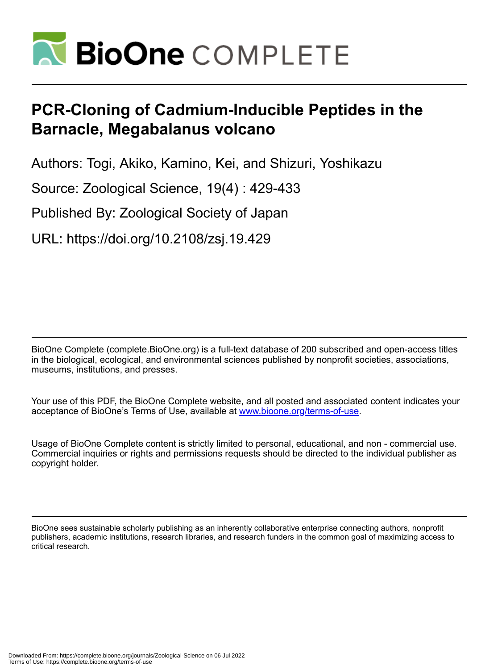

# **PCR-Cloning of Cadmium-Inducible Peptides in the Barnacle, Megabalanus volcano**

Authors: Togi, Akiko, Kamino, Kei, and Shizuri, Yoshikazu

Source: Zoological Science, 19(4) : 429-433

Published By: Zoological Society of Japan

URL: https://doi.org/10.2108/zsj.19.429

BioOne Complete (complete.BioOne.org) is a full-text database of 200 subscribed and open-access titles in the biological, ecological, and environmental sciences published by nonprofit societies, associations, museums, institutions, and presses.

Your use of this PDF, the BioOne Complete website, and all posted and associated content indicates your acceptance of BioOne's Terms of Use, available at www.bioone.org/terms-of-use.

Usage of BioOne Complete content is strictly limited to personal, educational, and non - commercial use. Commercial inquiries or rights and permissions requests should be directed to the individual publisher as copyright holder.

BioOne sees sustainable scholarly publishing as an inherently collaborative enterprise connecting authors, nonprofit publishers, academic institutions, research libraries, and research funders in the common goal of maximizing access to critical research.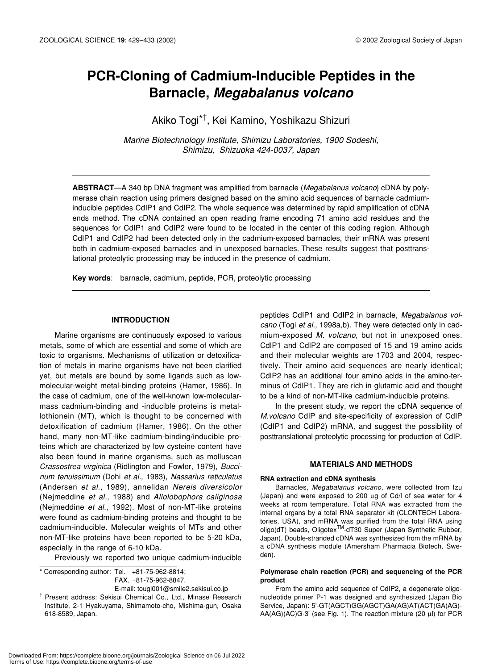# **PCR-Cloning of Cadmium-Inducible Peptides in the Barnacle,** *Megabalanus volcano*

Akiko Togi\*† , Kei Kamino, Yoshikazu Shizuri

*Marine Biotechnology Institute, Shimizu Laboratories, 1900 Sodeshi, Shimizu, Shizuoka 424-0037, Japan*

**ABSTRACT**—A 340 bp DNA fragment was amplified from barnacle (*Megabalanus volcano*) cDNA by polymerase chain reaction using primers designed based on the amino acid sequences of barnacle cadmiuminducible peptides CdIP1 and CdIP2. The whole sequence was determined by rapid amplification of cDNA ends method. The cDNA contained an open reading frame encoding 71 amino acid residues and the sequences for CdIP1 and CdIP2 were found to be located in the center of this coding region. Although CdIP1 and CdIP2 had been detected only in the cadmium-exposed barnacles, their mRNA was present both in cadmium-exposed barnacles and in unexposed barnacles. These results suggest that posttranslational proteolytic processing may be induced in the presence of cadmium.

**Key words**: barnacle, cadmium, peptide, PCR, proteolytic processing

# **INTRODUCTION**

Marine organisms are continuously exposed to various metals, some of which are essential and some of which are toxic to organisms. Mechanisms of utilization or detoxification of metals in marine organisms have not been clarified yet, but metals are bound by some ligands such as lowmolecular-weight metal-binding proteins (Hamer, 1986). In the case of cadmium, one of the well-known low-molecularmass cadmium-binding and -inducible proteins is metallothionein (MT), which is thought to be concerned with detoxification of cadmium (Hamer, 1986). On the other hand, many non-MT-like cadmium-binding/inducible proteins which are characterized by low cysteine content have also been found in marine organisms, such as molluscan *Crassostrea virginica* (Ridlington and Fowler, 1979), *Buccinum tenuissimum* (Dohi *et al.*, 1983), *Nassarius reticulatus* (Andersen *et al.*, 1989), annelidan *Nereis diversicolor* (Nejmeddine *et al.*, 1988) and *Allolobophora caliginosa* (Nejmeddine *et al.*, 1992). Most of non-MT-like proteins were found as cadmium-binding proteins and thought to be cadmium-inducible. Molecular weights of MTs and other non-MT-like proteins have been reported to be 5-20 kDa, especially in the range of 6-10 kDa.

Previously we reported two unique cadmium-inducible

\* Corresponding author: Tel. +81-75-962-8814; FAX. +81-75-962-8847.

E-mail: tougi001@smile2.sekisui.co.jp

† Present address: Sekisui Chemical Co., Ltd., Minase Research Institute, 2-1 Hyakuyama, Shimamoto-cho, Mishima-gun, Osaka 618-8589, Japan.

peptides CdIP1 and CdIP2 in barnacle, *Megabalanus volcano* (Togi *et al.*, 1998a,b). They were detected only in cadmium-exposed *M. volcano*, but not in unexposed ones. CdIP1 and CdIP2 are composed of 15 and 19 amino acids and their molecular weights are 1703 and 2004, respectively. Their amino acid sequences are nearly identical; CdIP2 has an additional four amino acids in the amino-terminus of CdIP1. They are rich in glutamic acid and thought to be a kind of non-MT-like cadmium-inducible proteins.

In the present study, we report the cDNA sequence of *M.volcano* CdIP and site-specificity of expression of CdIP (CdIP1 and CdIP2) mRNA, and suggest the possibility of posttranslational proteolytic processing for production of CdIP.

# **MATERIALS AND METHODS**

#### **RNA extraction and cDNA synthesis**

Barnacles, *Megabalanus volcano*, were collected from Izu (Japan) and were exposed to 200 µg of Cd/l of sea water for 4 weeks at room temperature. Total RNA was extracted from the internal organs by a total RNA separator kit (CLONTECH Laboratories, USA), and mRNA was purified from the total RNA using oligo(dT) beads, Oligotex<sup>™</sup>-dT30 Super (Japan Synthetic Rubber, Japan). Double-stranded cDNA was synthesized from the mRNA by a cDNA synthesis module (Amersham Pharmacia Biotech, Sweden).

#### **Polymerase chain reaction (PCR) and sequencing of the PCR product**

From the amino acid sequence of CdIP2, a degenerate oligonucleotide primer P-1 was designed and synthesized (Japan Bio Service, Japan): 5'-GT(AGCT)GG(AGCT)GA(AG)AT(ACT)GA(AG)- AA(AG)(AC)G-3' (see Fig. 1). The reaction mixture (20 µl) for PCR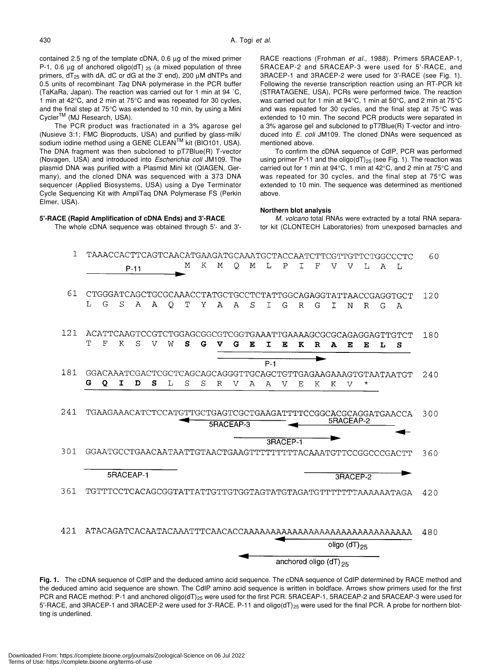contained 2.5 ng of the template cDNA, 0.6 µg of the mixed primer P-1, 0.6 µg of anchored oligo(dT)  $_{25}$  (a mixed population of three primers,  $dT_{25}$  with dA, dC or dG at the 3' end), 200  $\mu$ M dNTPs and 0.5 units of recombinant *Taq* DNA polymerase in the PCR buffer (TaKaRa, Japan). The reaction was carried out for 1 min at 94 ˚C, 1 min at 42°C, and 2 min at 75°C and was repeated for 30 cycles, and the final step at 75°C was extended to 10 min, by using a Mini Cycler<sup>™</sup> (MJ Research, USA).

The PCR product was fractionated in a 3% agarose gel (Nusieve 3:1; FMC Bioproducts, USA) and purified by glass-milk/ sodium iodine method using a GENE CLEAN<sup>™</sup> kit (BIO101, USA). The DNA fragment was then subcloned to pT7Blue(R) T-vector (Novagen, USA) and introduced into *Escherichia coli* JM109. The plasmid DNA was purified with a Plasmid Mini kit (QIAGEN, Germany), and the cloned DNA was sequenced with a 373 DNA sequencer (Applied Biosystems, USA) using a Dye Terminator Cycle Sequencing Kit with AmpliTaq DNA Polymerase FS (Perkin Elmer, USA).

# **5'-RACE (Rapid Amplification of cDNA Ends) and 3'-RACE**

The whole cDNA sequence was obtained through 5'- and 3'-

RACE reactions (Frohman *et al.*, 1988). Primers 5RACEAP-1, 5RACEAP-2 and 5RACEAP-3 were used for 5'-RACE, and 3RACEP-1 and 3RACEP-2 were used for 3'-RACE (see Fig. 1). Following the reverse transcription reaction using an RT-PCR kit (STRATAGENE, USA), PCRs were performed twice. The reaction was carried out for 1 min at 94°C, 1 min at 50°C, and 2 min at 75°C and was repeated for 30 cycles, and the final step at 75°C was extended to 10 min. The second PCR products were separated in a 3% agarose gel and subcloned to pT7Blue(R) T-vector and introduced into *E. coli* JM109. The cloned DNAs were sequenced as mentioned above.

To confirm the cDNA sequence of CdIP, PCR was performed using primer P-11 and the oligo( $dT$ )<sub>25</sub> (see Fig. 1). The reaction was carried out for 1 min at 94°C, 1 min at 42°C, and 2 min at 75°C and was repeated for 30 cycles, and the final step at 75°C was extended to 10 min. The sequence was determined as mentioned above.

#### **Northern blot analysis**

*M. volcano* total RNAs were extracted by a total RNA separator kit (CLONTECH Laboratories) from unexposed barnacles and



**Fig. 1.** The cDNA sequence of CdIP and the deduced amino acid sequence. The cDNA sequence of CdIP determined by RACE method and the deduced amino acid sequence are shown. The CdIP amino acid sequence is written in boldface. Arrows show primers used for the first PCR and RACE method: P-1 and anchored oligo(dT)<sub>25</sub> were used for the first PCR. 5RACEAP-1, 5RACEAP-2 and 5RACEAP-3 were used for 5'-RACE, and 3RACEP-1 and 3RACEP-2 were used for 3'-RACE. P-11 and oligo( $dT$ )<sub>25</sub> were used for the final PCR. A probe for northern blotting is underlined.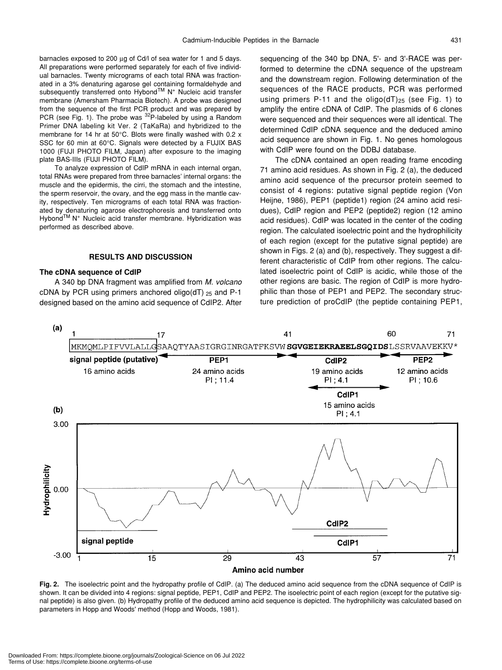barnacles exposed to 200 µg of Cd/l of sea water for 1 and 5 days. All preparations were performed separately for each of five individual barnacles. Twenty micrograms of each total RNA was fractionated in a 3% denaturing agarose gel containing formaldehyde and subsequently transferred onto Hybond™ N<sup>+</sup> Nucleic acid transfer membrane (Amersham Pharmacia Biotech). A probe was designed from the sequence of the first PCR product and was prepared by PCR (see Fig. 1). The probe was  $^{32}P$ -labeled by using a Random Primer DNA labeling kit Ver. 2 (TaKaRa) and hybridized to the membrane for 14 hr at 50°C. Blots were finally washed with 0.2 x SSC for 60 min at 60°C. Signals were detected by a FUJIX BAS 1000 (FUJI PHOTO FILM, Japan) after exposure to the imaging plate BAS-IIIs (FUJI PHOTO FILM).

To analyze expression of CdIP mRNA in each internal organ, total RNAs were prepared from three barnacles' internal organs: the muscle and the epidermis, the cirri, the stomach and the intestine, the sperm reservoir, the ovary, and the egg mass in the mantle cavity, respectively. Ten micrograms of each total RNA was fractionated by denaturing agarose electrophoresis and transferred onto Hybond™ N<sup>+</sup> Nucleic acid transfer membrane. Hybridization was performed as described above.

# **RESULTS AND DISCUSSION**

#### **The cDNA sequence of CdIP**

A 340 bp DNA fragment was amplified from *M. volcano* cDNA by PCR using primers anchored oligo( $dT$ )  $_{25}$  and P-1 designed based on the amino acid sequence of CdIP2. After sequencing of the 340 bp DNA, 5'- and 3'-RACE was performed to determine the cDNA sequence of the upstream and the downstream region. Following determination of the sequences of the RACE products, PCR was performed using primers P-11 and the oligo( $dT$ )<sub>25</sub> (see Fig. 1) to amplify the entire cDNA of CdIP. The plasmids of 6 clones were sequenced and their sequences were all identical. The determined CdIP cDNA sequence and the deduced amino acid sequence are shown in Fig. 1. No genes homologous with CdIP were found on the DDBJ database.

The cDNA contained an open reading frame encoding 71 amino acid residues. As shown in Fig. 2 (a), the deduced amino acid sequence of the precursor protein seemed to consist of 4 regions: putative signal peptide region (Von Heijne, 1986), PEP1 (peptide1) region (24 amino acid residues), CdIP region and PEP2 (peptide2) region (12 amino acid residues). CdIP was located in the center of the coding region. The calculated isoelectric point and the hydrophilicity of each region (except for the putative signal peptide) are shown in Figs. 2 (a) and (b), respectively. They suggest a different characteristic of CdIP from other regions. The calculated isoelectric point of CdIP is acidic, while those of the other regions are basic. The region of CdIP is more hydrophilic than those of PEP1 and PEP2. The secondary structure prediction of proCdIP (the peptide containing PEP1,



**Fig. 2.** The isoelectric point and the hydropathy profile of CdIP. (a) The deduced amino acid sequence from the cDNA sequence of CdIP is shown. It can be divided into 4 regions: signal peptide, PEP1, CdIP and PEP2. The isoelectric point of each region (except for the putative signal peptide) is also given. (b) Hydropathy profile of the deduced amino acid sequence is depicted. The hydrophilicity was calculated based on parameters in Hopp and Woods' method (Hopp and Woods, 1981).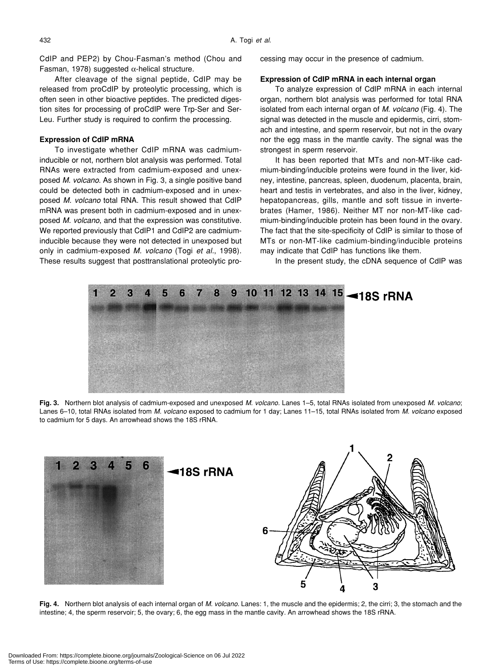CdIP and PEP2) by Chou-Fasman's method (Chou and Fasman, 1978) suggested  $\alpha$ -helical structure.

After cleavage of the signal peptide, CdIP may be released from proCdIP by proteolytic processing, which is often seen in other bioactive peptides. The predicted digestion sites for processing of proCdIP were Trp-Ser and Ser-Leu. Further study is required to confirm the processing.

# **Expression of CdIP mRNA**

To investigate whether CdIP mRNA was cadmiuminducible or not, northern blot analysis was performed. Total RNAs were extracted from cadmium-exposed and unexposed *M. volcano*. As shown in Fig. 3, a single positive band could be detected both in cadmium-exposed and in unexposed *M. volcano* total RNA. This result showed that CdIP mRNA was present both in cadmium-exposed and in unexposed *M. volcano*, and that the expression was constitutive. We reported previously that CdIP1 and CdIP2 are cadmiuminducible because they were not detected in unexposed but only in cadmium-exposed *M. volcano* (Togi *et al.*, 1998). These results suggest that posttranslational proteolytic processing may occur in the presence of cadmium.

# **Expression of CdIP mRNA in each internal organ**

To analyze expression of CdIP mRNA in each internal organ, northern blot analysis was performed for total RNA isolated from each internal organ of *M. volcano* (Fig. 4). The signal was detected in the muscle and epidermis, cirri, stomach and intestine, and sperm reservoir, but not in the ovary nor the egg mass in the mantle cavity. The signal was the strongest in sperm reservoir.

It has been reported that MTs and non-MT-like cadmium-binding/inducible proteins were found in the liver, kidney, intestine, pancreas, spleen, duodenum, placenta, brain, heart and testis in vertebrates, and also in the liver, kidney, hepatopancreas, gills, mantle and soft tissue in invertebrates (Hamer, 1986). Neither MT nor non-MT-like cadmium-binding/inducible protein has been found in the ovary. The fact that the site-specificity of CdIP is similar to those of MTs or non-MT-like cadmium-binding/inducible proteins may indicate that CdIP has functions like them.

In the present study, the cDNA sequence of CdIP was



**Fig. 3.** Northern blot analysis of cadmium-exposed and unexposed *M. volcano.* Lanes 1–5, total RNAs isolated from unexposed *M. volcano*; Lanes 6–10, total RNAs isolated from *M. volcano* exposed to cadmium for 1 day; Lanes 11–15, total RNAs isolated from *M. volcano* exposed to cadmium for 5 days. An arrowhead shows the 18S rRNA.



**Fig. 4.** Northern blot analysis of each internal organ of *M. volcano.* Lanes: 1, the muscle and the epidermis; 2, the cirri; 3, the stomach and the intestine; 4, the sperm reservoir; 5, the ovary; 6, the egg mass in the mantle cavity. An arrowhead shows the 18S rRNA.